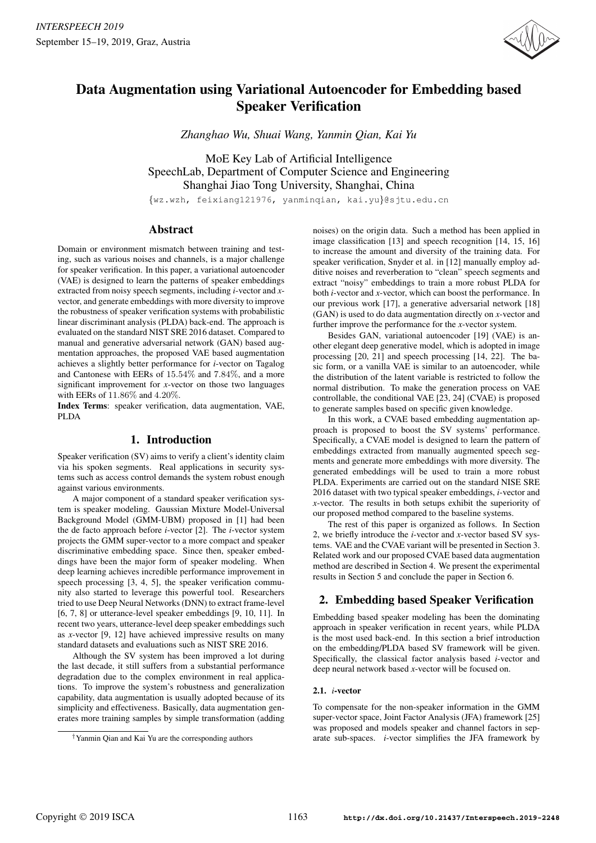

# Data Augmentation using Variational Autoencoder for Embedding based Speaker Verification

*Zhanghao Wu, Shuai Wang, Yanmin Qian, Kai Yu*

MoE Key Lab of Artificial Intelligence SpeechLab, Department of Computer Science and Engineering Shanghai Jiao Tong University, Shanghai, China

{wz.wzh, feixiang121976, yanminqian, kai.yu}@sjtu.edu.cn

### Abstract

Domain or environment mismatch between training and testing, such as various noises and channels, is a major challenge for speaker verification. In this paper, a variational autoencoder (VAE) is designed to learn the patterns of speaker embeddings extracted from noisy speech segments, including *i*-vector and *x*vector, and generate embeddings with more diversity to improve the robustness of speaker verification systems with probabilistic linear discriminant analysis (PLDA) back-end. The approach is evaluated on the standard NIST SRE 2016 dataset. Compared to manual and generative adversarial network (GAN) based augmentation approaches, the proposed VAE based augmentation achieves a slightly better performance for *i*-vector on Tagalog and Cantonese with EERs of 15.54% and 7.84%, and a more significant improvement for *x*-vector on those two languages with EERs of 11.86% and 4.20%.

Index Terms: speaker verification, data augmentation, VAE, PLDA

# 1. Introduction

Speaker verification (SV) aims to verify a client's identity claim via his spoken segments. Real applications in security systems such as access control demands the system robust enough against various environments.

A major component of a standard speaker verification system is speaker modeling. Gaussian Mixture Model-Universal Background Model (GMM-UBM) proposed in [1] had been the de facto approach before *i*-vector [2]. The *i*-vector system projects the GMM super-vector to a more compact and speaker discriminative embedding space. Since then, speaker embeddings have been the major form of speaker modeling. When deep learning achieves incredible performance improvement in speech processing [3, 4, 5], the speaker verification community also started to leverage this powerful tool. Researchers tried to use Deep Neural Networks (DNN) to extract frame-level [6, 7, 8] or utterance-level speaker embeddings [9, 10, 11]. In recent two years, utterance-level deep speaker embeddings such as *x*-vector [9, 12] have achieved impressive results on many standard datasets and evaluations such as NIST SRE 2016.

Although the SV system has been improved a lot during the last decade, it still suffers from a substantial performance degradation due to the complex environment in real applications. To improve the system's robustness and generalization capability, data augmentation is usually adopted because of its simplicity and effectiveness. Basically, data augmentation generates more training samples by simple transformation (adding

noises) on the origin data. Such a method has been applied in image classification [13] and speech recognition [14, 15, 16] to increase the amount and diversity of the training data. For speaker verification, Snyder et al. in [12] manually employ additive noises and reverberation to "clean" speech segments and extract "noisy" embeddings to train a more robust PLDA for both *i*-vector and *x*-vector, which can boost the performance. In our previous work [17], a generative adversarial network [18] (GAN) is used to do data augmentation directly on *x*-vector and further improve the performance for the *x*-vector system.

Besides GAN, variational autoencoder [19] (VAE) is another elegant deep generative model, which is adopted in image processing [20, 21] and speech processing [14, 22]. The basic form, or a vanilla VAE is similar to an autoencoder, while the distribution of the latent variable is restricted to follow the normal distribution. To make the generation process on VAE controllable, the conditional VAE [23, 24] (CVAE) is proposed to generate samples based on specific given knowledge.

In this work, a CVAE based embedding augmentation approach is proposed to boost the SV systems' performance. Specifically, a CVAE model is designed to learn the pattern of embeddings extracted from manually augmented speech segments and generate more embeddings with more diversity. The generated embeddings will be used to train a more robust PLDA. Experiments are carried out on the standard NISE SRE 2016 dataset with two typical speaker embeddings, *i*-vector and *x*-vector. The results in both setups exhibit the superiority of our proposed method compared to the baseline systems.

The rest of this paper is organized as follows. In Section 2, we briefly introduce the *i*-vector and *x*-vector based SV systems. VAE and the CVAE variant will be presented in Section 3. Related work and our proposed CVAE based data augmentation method are described in Section 4. We present the experimental results in Section 5 and conclude the paper in Section 6.

# 2. Embedding based Speaker Verification

Embedding based speaker modeling has been the dominating approach in speaker verification in recent years, while PLDA is the most used back-end. In this section a brief introduction on the embedding/PLDA based SV framework will be given. Specifically, the classical factor analysis based *i*-vector and deep neural network based *x*-vector will be focused on.

#### 2.1. *i*-vector

To compensate for the non-speaker information in the GMM super-vector space, Joint Factor Analysis (JFA) framework [25] was proposed and models speaker and channel factors in separate sub-spaces. *i*-vector simplifies the JFA framework by

<sup>†</sup>Yanmin Qian and Kai Yu are the corresponding authors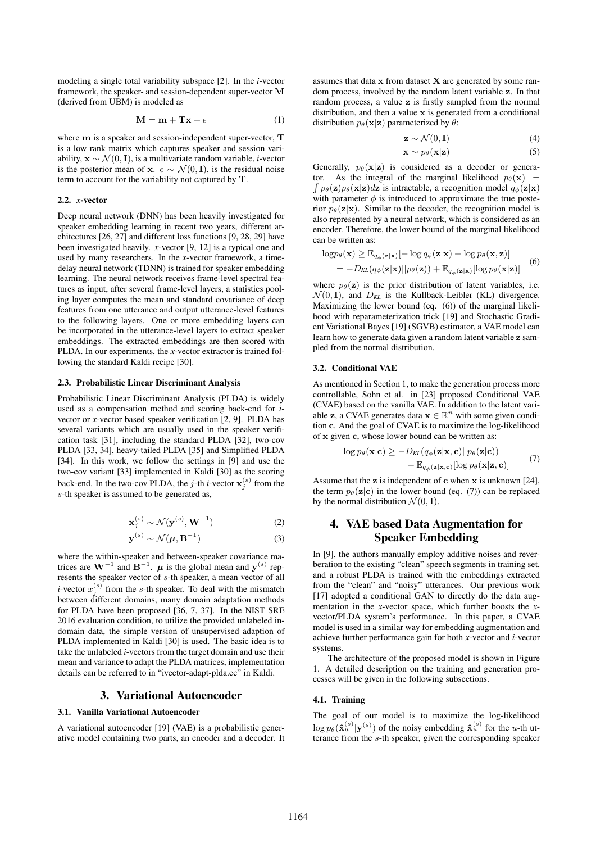modeling a single total variability subspace [2]. In the *i*-vector framework, the speaker- and session-dependent super-vector M (derived from UBM) is modeled as

$$
\mathbf{M} = \mathbf{m} + \mathbf{T}\mathbf{x} + \epsilon \tag{1}
$$

where m is a speaker and session-independent super-vector, T is a low rank matrix which captures speaker and session variability, x ∼ N (0, I), is a multivariate random variable, *i*-vector is the posterior mean of x.  $\epsilon \sim \mathcal{N}(0, I)$ , is the residual noise term to account for the variability not captured by T.

#### 2.2. *x*-vector

Deep neural network (DNN) has been heavily investigated for speaker embedding learning in recent two years, different architectures [26, 27] and different loss functions [9, 28, 29] have been investigated heavily. *x*-vector [9, 12] is a typical one and used by many researchers. In the *x*-vector framework, a timedelay neural network (TDNN) is trained for speaker embedding learning. The neural network receives frame-level spectral features as input, after several frame-level layers, a statistics pooling layer computes the mean and standard covariance of deep features from one utterance and output utterance-level features to the following layers. One or more embedding layers can be incorporated in the utterance-level layers to extract speaker embeddings. The extracted embeddings are then scored with PLDA. In our experiments, the *x*-vector extractor is trained following the standard Kaldi recipe [30].

#### 2.3. Probabilistic Linear Discriminant Analysis

Probabilistic Linear Discriminant Analysis (PLDA) is widely used as a compensation method and scoring back-end for *i*vector or *x*-vector based speaker verification [2, 9]. PLDA has several variants which are usually used in the speaker verification task [31], including the standard PLDA [32], two-cov PLDA [33, 34], heavy-tailed PLDA [35] and Simplified PLDA [34]. In this work, we follow the settings in [9] and use the two-cov variant [33] implemented in Kaldi [30] as the scoring back-end. In the two-cov PLDA, the *j*-th *i*-vector  $\mathbf{x}_j^{(s)}$  from the s-th speaker is assumed to be generated as,

$$
\mathbf{x}_j^{(s)} \sim \mathcal{N}(\mathbf{y}^{(s)}, \mathbf{W}^{-1})
$$
 (2)

$$
\mathbf{y}^{(s)} \sim \mathcal{N}(\boldsymbol{\mu}, \mathbf{B}^{-1})
$$
 (3)

where the within-speaker and between-speaker covariance matrices are  $W^{-1}$  and  $B^{-1}$ .  $\mu$  is the global mean and  $y^{(s)}$  represents the speaker vector of s-th speaker, a mean vector of all *i*-vector  $x_j^{(s)}$  from the *s*-th speaker. To deal with the mismatch between different domains, many domain adaptation methods for PLDA have been proposed [36, 7, 37]. In the NIST SRE 2016 evaluation condition, to utilize the provided unlabeled indomain data, the simple version of unsupervised adaption of PLDA implemented in Kaldi [30] is used. The basic idea is to take the unlabeled *i*-vectors from the target domain and use their mean and variance to adapt the PLDA matrices, implementation details can be referred to in "ivector-adapt-plda.cc" in Kaldi.

### 3. Variational Autoencoder

#### 3.1. Vanilla Variational Autoencoder

A variational autoencoder [19] (VAE) is a probabilistic generative model containing two parts, an encoder and a decoder. It assumes that data  $x$  from dataset  $X$  are generated by some random process, involved by the random latent variable z. In that random process, a value z is firstly sampled from the normal distribution, and then a value  $x$  is generated from a conditional distribution  $p_{\theta}(\mathbf{x}|\mathbf{z})$  parameterized by  $\theta$ :

$$
\mathbf{z} \sim \mathcal{N}(0, \mathbf{I}) \tag{4}
$$

$$
\mathbf{x} \sim p_{\theta}(\mathbf{x}|\mathbf{z}) \tag{5}
$$

Generally,  $p_{\theta}(\mathbf{x}|\mathbf{z})$  is considered as a decoder or genera- $\int p_{\theta}(\mathbf{z})p_{\theta}(\mathbf{x}|\mathbf{z})d\mathbf{z}$  is intractable, a recognition model  $q_{\phi}(\mathbf{z}|\mathbf{x})$ tor. As the integral of the marginal likelihood  $p_\theta(\mathbf{x})$  = with parameter  $\phi$  is introduced to approximate the true posterior  $p_\theta(\mathbf{z}|\mathbf{x})$ . Similar to the decoder, the recognition model is also represented by a neural network, which is considered as an encoder. Therefore, the lower bound of the marginal likelihood can be written as:

$$
\log p_{\theta}(\mathbf{x}) \geq \mathbb{E}_{q_{\phi}(\mathbf{z}|\mathbf{x})}[-\log q_{\phi}(\mathbf{z}|\mathbf{x}) + \log p_{\theta}(\mathbf{x}, \mathbf{z})]
$$
  
=  $-D_{KL}(q_{\phi}(\mathbf{z}|\mathbf{x})||p_{\theta}(\mathbf{z})) + \mathbb{E}_{q_{\phi}(\mathbf{z}|\mathbf{x})}[\log p_{\theta}(\mathbf{x}|\mathbf{z})]$  (6)

where  $p_{\theta}(\mathbf{z})$  is the prior distribution of latent variables, i.e.  $\mathcal{N}(0, I)$ , and  $D_{KL}$  is the Kullback-Leibler (KL) divergence. Maximizing the lower bound (eq. (6)) of the marginal likelihood with reparameterization trick [19] and Stochastic Gradient Variational Bayes [19] (SGVB) estimator, a VAE model can learn how to generate data given a random latent variable z sampled from the normal distribution.

#### 3.2. Conditional VAE

As mentioned in Section 1, to make the generation process more controllable, Sohn et al. in [23] proposed Conditional VAE (CVAE) based on the vanilla VAE. In addition to the latent variable **z**, a CVAE generates data  $\mathbf{x} \in \mathbb{R}^n$  with some given condition c. And the goal of CVAE is to maximize the log-likelihood of x given c, whose lower bound can be written as:

$$
\log p_{\theta}(\mathbf{x}|\mathbf{c}) \ge -D_{KL}(q_{\phi}(\mathbf{z}|\mathbf{x}, \mathbf{c})||p_{\theta}(\mathbf{z}|\mathbf{c})) + \mathbb{E}_{q_{\phi}(\mathbf{z}|\mathbf{x}, \mathbf{c})}[\log p_{\theta}(\mathbf{x}|\mathbf{z}, \mathbf{c})]
$$
(7)

Assume that the  $z$  is independent of  $c$  when  $x$  is unknown [24], the term  $p_{\theta}(\mathbf{z}|\mathbf{c})$  in the lower bound (eq. (7)) can be replaced by the normal distribution  $\mathcal{N}(0, I)$ .

## 4. VAE based Data Augmentation for Speaker Embedding

In [9], the authors manually employ additive noises and reverberation to the existing "clean" speech segments in training set, and a robust PLDA is trained with the embeddings extracted from the "clean" and "noisy" utterances. Our previous work [17] adopted a conditional GAN to directly do the data augmentation in the *x*-vector space, which further boosts the *x*vector/PLDA system's performance. In this paper, a CVAE model is used in a similar way for embedding augmentation and achieve further performance gain for both *x*-vector and *i*-vector systems.

The architecture of the proposed model is shown in Figure 1. A detailed description on the training and generation processes will be given in the following subsections.

#### 4.1. Training

The goal of our model is to maximize the log-likelihood  $\log p_{\theta}(\hat{\mathbf{x}}_u^{(s)} | \mathbf{y}^{(s)})$  of the noisy embedding  $\hat{\mathbf{x}}_u^{(s)}$  for the u-th utterance from the s-th speaker, given the corresponding speaker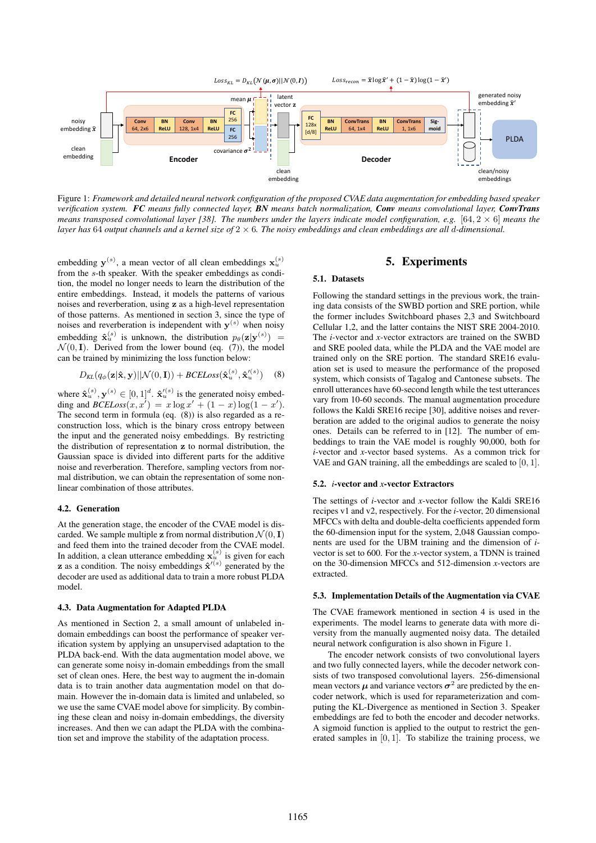

Figure 1: *Framework and detailed neural network configuration of the proposed CVAE data augmentation for embedding based speaker verification system. FC means fully connected layer, BN means batch normalization, Conv means convolutional layer, ConvTrans means transposed convolutional layer [38]. The numbers under the layers indicate model configuration, e.g.* [64, 2 × 6] *means the layer has* 64 *output channels and a kernel size of* 2 × 6*. The noisy embeddings and clean embeddings are all* d*-dimensional.*

embedding  $y^{(s)}$ , a mean vector of all clean embeddings  $x_u^{(s)}$ from the s-th speaker. With the speaker embeddings as condition, the model no longer needs to learn the distribution of the entire embeddings. Instead, it models the patterns of various noises and reverberation, using z as a high-level representation of those patterns. As mentioned in section 3, since the type of noises and reverberation is independent with  $y^{(s)}$  when noisy embedding  $\hat{\mathbf{x}}_u^{(s)}$  is unknown, the distribution  $p_\theta(\mathbf{z}|\mathbf{y}^{(s)}) =$  $\mathcal{N}(0, I)$ . Derived from the lower bound (eq. (7)), the model can be trained by minimizing the loss function below:

$$
D_{KL}(q_{\phi}(\mathbf{z}|\hat{\mathbf{x}}, \mathbf{y})||\mathcal{N}(0, \mathbf{I})) + BCELoss(\hat{\mathbf{x}}_u^{(s)}, \hat{\mathbf{x}}_u'^{(s)}) \quad (8)
$$

where  $\hat{\mathbf{x}}_u^{(s)}, \mathbf{y}^{(s)} \in [0, 1]^d$ .  $\hat{\mathbf{x}}_u'^{(s)}$  is the generated noisy embedding and  $BCELoss(x, x') = x \log x' + (1 - x) \log(1 - x')$ . The second term in formula (eq. (8)) is also regarded as a reconstruction loss, which is the binary cross entropy between the input and the generated noisy embeddings. By restricting the distribution of representation z to normal distribution, the Gaussian space is divided into different parts for the additive noise and reverberation. Therefore, sampling vectors from normal distribution, we can obtain the representation of some nonlinear combination of those attributes.

#### 4.2. Generation

At the generation stage, the encoder of the CVAE model is discarded. We sample multiple z from normal distribution  $\mathcal{N}(0, I)$ and feed them into the trained decoder from the CVAE model. In addition, a clean utterance embedding  $\mathbf{x}_u^{(s)}$  is given for each **z** as a condition. The noisy embeddings  $\hat{\mathbf{x}}^{\prime(s)}$  generated by the decoder are used as additional data to train a more robust PLDA model.

#### 4.3. Data Augmentation for Adapted PLDA

As mentioned in Section 2, a small amount of unlabeled indomain embeddings can boost the performance of speaker verification system by applying an unsupervised adaptation to the PLDA back-end. With the data augmentation model above, we can generate some noisy in-domain embeddings from the small set of clean ones. Here, the best way to augment the in-domain data is to train another data augmentation model on that domain. However the in-domain data is limited and unlabeled, so we use the same CVAE model above for simplicity. By combining these clean and noisy in-domain embeddings, the diversity increases. And then we can adapt the PLDA with the combination set and improve the stability of the adaptation process.

# 5. Experiments

#### 5.1. Datasets

Following the standard settings in the previous work, the training data consists of the SWBD portion and SRE portion, while the former includes Switchboard phases 2,3 and Switchboard Cellular 1,2, and the latter contains the NIST SRE 2004-2010. The *i*-vector and *x*-vector extractors are trained on the SWBD and SRE pooled data, while the PLDA and the VAE model are trained only on the SRE portion. The standard SRE16 evaluation set is used to measure the performance of the proposed system, which consists of Tagalog and Cantonese subsets. The enroll utterances have 60-second length while the test utterances vary from 10-60 seconds. The manual augmentation procedure follows the Kaldi SRE16 recipe [30], additive noises and reverberation are added to the original audios to generate the noisy ones. Details can be referred to in [12]. The number of embeddings to train the VAE model is roughly 90,000, both for *i*-vector and *x*-vector based systems. As a common trick for VAE and GAN training, all the embeddings are scaled to [0, 1].

#### 5.2. *i*-vector and *x*-vector Extractors

The settings of *i*-vector and *x*-vector follow the Kaldi SRE16 recipes v1 and v2, respectively. For the *i*-vector, 20 dimensional MFCCs with delta and double-delta coefficients appended form the 60-dimension input for the system, 2,048 Gaussian components are used for the UBM training and the dimension of *i*vector is set to 600. For the *x*-vector system, a TDNN is trained on the 30-dimension MFCCs and 512-dimension *x*-vectors are extracted.

#### 5.3. Implementation Details of the Augmentation via CVAE

The CVAE framework mentioned in section 4 is used in the experiments. The model learns to generate data with more diversity from the manually augmented noisy data. The detailed neural network configuration is also shown in Figure 1.

The encoder network consists of two convolutional layers and two fully connected layers, while the decoder network consists of two transposed convolutional layers. 256-dimensional mean vectors  $\mu$  and variance vectors  $\sigma^2$  are predicted by the encoder network, which is used for reparameterization and computing the KL-Divergence as mentioned in Section 3. Speaker embeddings are fed to both the encoder and decoder networks. A sigmoid function is applied to the output to restrict the generated samples in [0, 1]. To stabilize the training process, we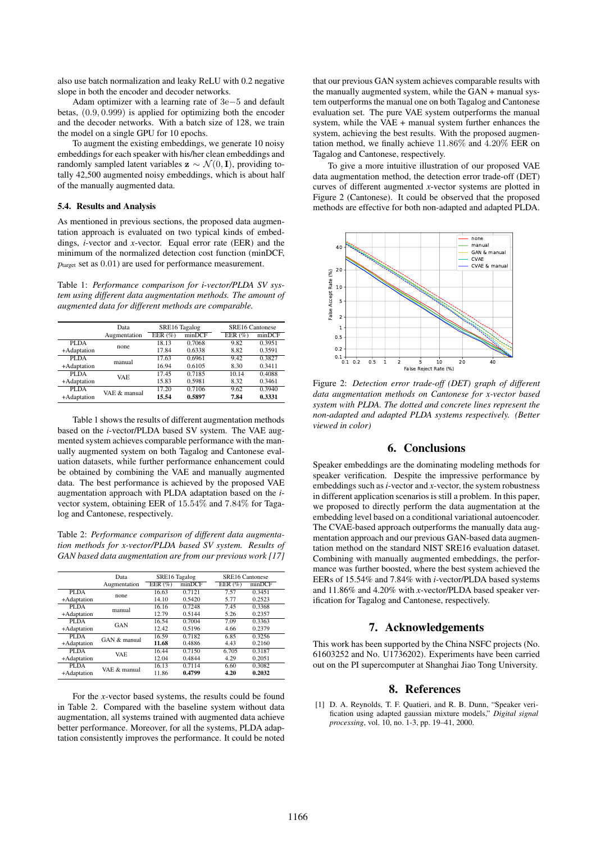also use batch normalization and leaky ReLU with 0.2 negative slope in both the encoder and decoder networks.

Adam optimizer with a learning rate of 3e−5 and default betas, (0.9, 0.999) is applied for optimizing both the encoder and the decoder networks. With a batch size of 128, we train the model on a single GPU for 10 epochs.

To augment the existing embeddings, we generate 10 noisy embeddings for each speaker with his/her clean embeddings and randomly sampled latent variables  $z \sim \mathcal{N}(0, I)$ , providing totally 42,500 augmented noisy embeddings, which is about half of the manually augmented data.

#### 5.4. Results and Analysis

As mentioned in previous sections, the proposed data augmentation approach is evaluated on two typical kinds of embeddings, *i*-vector and *x*-vector. Equal error rate (EER) and the minimum of the normalized detection cost function (minDCF,  $p<sub>target</sub>$  set as  $0.01$ ) are used for performance measurement.

Table 1: *Performance comparison for i-vector/PLDA SV system using different data augmentation methods. The amount of augmented data for different methods are comparable.*

|             | Data         | SRE16 Tagalog |        |            | <b>SRE16 Cantonese</b> |  |  |
|-------------|--------------|---------------|--------|------------|------------------------|--|--|
|             | Augmentation | EER $(\%)$    | minDCF | EER $(\%)$ | minDCF                 |  |  |
| PLDA        | none         | 18.13         | 0.7068 | 9.82       | 0.3951                 |  |  |
| +Adaptation |              | 17.84         | 0.6338 | 8.82       | 0.3591                 |  |  |
| PLDA        | manual       | 17.63         | 0.6961 | 9.42       | 0.3827                 |  |  |
| +Adaptation |              | 16.94         | 0.6105 | 8.30       | 0.3411                 |  |  |
| PLDA        | VAE.         | 17.45         | 0.7185 | 10.14      | 0.4088                 |  |  |
| +Adaptation |              | 15.83         | 0.5981 | 8.32       | 0.3461                 |  |  |
| PLDA        | VAE & manual | 17.20         | 0.7106 | 9.62       | 0.3940                 |  |  |
| +Adaptation |              | 15.54         | 0.5897 | 7.84       | 0.3331                 |  |  |

Table 1 shows the results of different augmentation methods based on the *i*-vector/PLDA based SV system. The VAE augmented system achieves comparable performance with the manually augmented system on both Tagalog and Cantonese evaluation datasets, while further performance enhancement could be obtained by combining the VAE and manually augmented data. The best performance is achieved by the proposed VAE augmentation approach with PLDA adaptation based on the *i*vector system, obtaining EER of 15.54% and 7.84% for Tagalog and Cantonese, respectively.

Table 2: *Performance comparison of different data augmentation methods for x-vector/PLDA based SV system. Results of GAN based data augmentation are from our previous work [17]*

|             | Data         | SRE16 Tagalog |        |          | <b>SRE16 Cantonese</b> |        |  |
|-------------|--------------|---------------|--------|----------|------------------------|--------|--|
|             | Augmentation | EER $(% )$    | minDCF | EER $(%$ |                        | minDCF |  |
| PLDA        | none         | 16.63         | 0.7121 | 7.57     |                        | 0.3451 |  |
| +Adaptation |              | 14.10         | 0.5420 | 5.77     |                        | 0.2523 |  |
| PLDA        | manual       | 16.16         | 0.7248 | 7.45     |                        | 0.3368 |  |
| +Adaptation |              | 12.79         | 0.5144 | 5.26     |                        | 0.2357 |  |
| PLDA        | GAN          | 16.54         | 0.7004 | 7.09     |                        | 0.3363 |  |
| +Adaptation |              | 12.42         | 0.5196 | 4.66     |                        | 0.2379 |  |
| PLDA        | GAN & manual | 16.59         | 0.7182 | 6.85     |                        | 0.3256 |  |
| +Adaptation |              | 11.68         | 0.4886 | 4.43     |                        | 0.2160 |  |
| PLDA        | <b>VAE</b>   | 16.44         | 0.7150 | 6.705    |                        | 0.3187 |  |
| +Adaptation |              | 12.04         | 0.4844 | 4.29     |                        | 0.2051 |  |
| PLDA        | VAE & manual | 16.13         | 0.7114 | 6.60     |                        | 0.3082 |  |
| +Adaptation |              | 11.86         | 0.4799 | 4.20     |                        | 0.2032 |  |

For the *x*-vector based systems, the results could be found in Table 2. Compared with the baseline system without data augmentation, all systems trained with augmented data achieve better performance. Moreover, for all the systems, PLDA adaptation consistently improves the performance. It could be noted that our previous GAN system achieves comparable results with the manually augmented system, while the GAN + manual system outperforms the manual one on both Tagalog and Cantonese evaluation set. The pure VAE system outperforms the manual system, while the VAE + manual system further enhances the system, achieving the best results. With the proposed augmentation method, we finally achieve 11.86% and 4.20% EER on Tagalog and Cantonese, respectively.

To give a more intuitive illustration of our proposed VAE data augmentation method, the detection error trade-off (DET) curves of different augmented *x*-vector systems are plotted in Figure 2 (Cantonese). It could be observed that the proposed methods are effective for both non-adapted and adapted PLDA.



Figure 2: *Detection error trade-off (DET) graph of different data augmentation methods on Cantonese for x-vector based system with PLDA. The dotted and concrete lines represent the non-adapted and adapted PLDA systems respectively. (Better viewed in color)*

### 6. Conclusions

Speaker embeddings are the dominating modeling methods for speaker verification. Despite the impressive performance by embeddings such as *i*-vector and *x*-vector, the system robustness in different application scenarios is still a problem. In this paper, we proposed to directly perform the data augmentation at the embedding level based on a conditional variational autoencoder. The CVAE-based approach outperforms the manually data augmentation approach and our previous GAN-based data augmentation method on the standard NIST SRE16 evaluation dataset. Combining with manually augmented embeddings, the performance was further boosted, where the best system achieved the EERs of 15.54% and 7.84% with *i*-vector/PLDA based systems and 11.86% and 4.20% with *x*-vector/PLDA based speaker verification for Tagalog and Cantonese, respectively.

#### 7. Acknowledgements

This work has been supported by the China NSFC projects (No. 61603252 and No. U1736202). Experiments have been carried out on the PI supercomputer at Shanghai Jiao Tong University.

#### 8. References

[1] D. A. Reynolds, T. F. Quatieri, and R. B. Dunn, "Speaker verification using adapted gaussian mixture models," *Digital signal processing*, vol. 10, no. 1-3, pp. 19–41, 2000.